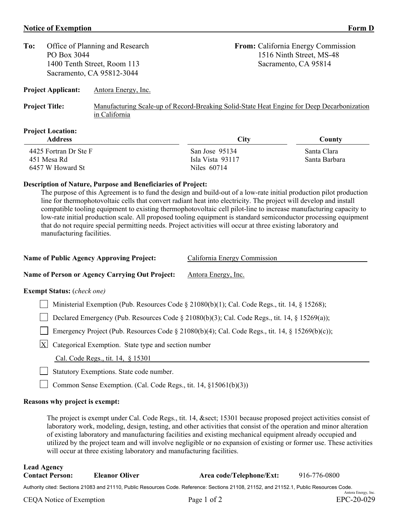# **Notice of Exemption** Form D

| To:                   | PO Box 3044                                | Office of Planning and Research                                                                             |             | <b>From:</b> California Energy Commission<br>1516 Ninth Street, MS-48 |  |  |  |
|-----------------------|--------------------------------------------|-------------------------------------------------------------------------------------------------------------|-------------|-----------------------------------------------------------------------|--|--|--|
|                       |                                            | 1400 Tenth Street, Room 113                                                                                 |             | Sacramento, CA 95814                                                  |  |  |  |
|                       |                                            | Sacramento, CA 95812-3044                                                                                   |             |                                                                       |  |  |  |
|                       | <b>Project Applicant:</b>                  | Antora Energy, Inc.                                                                                         |             |                                                                       |  |  |  |
| <b>Project Title:</b> |                                            | Manufacturing Scale-up of Record-Breaking Solid-State Heat Engine for Deep Decarbonization<br>in California |             |                                                                       |  |  |  |
|                       | <b>Project Location:</b><br><b>Address</b> |                                                                                                             | <b>City</b> | County                                                                |  |  |  |

| 4425 Fortran Dr Ste F |
|-----------------------|
| 451 Mesa Rd           |
| 6457 W Howard St      |

## **Description of Nature, Purpose and Beneficiaries of Project:**

The purpose of this Agreement is to fund the design and build-out of a low-rate initial production pilot production line for thermophotovoltaic cells that convert radiant heat into electricity. The project will develop and install compatible tooling equipment to existing thermophotovoltaic cell pilot-line to increase manufacturing capacity to low-rate initial production scale. All proposed tooling equipment is standard semiconductor processing equipment that do not require special permitting needs. Project activities will occur at three existing laboratory and manufacturing facilities.

Niles 60714

San Jose 95134 Santa Clara Isla Vista 93117 Santa Barbara

| <b>Name of Public Agency Approving Project:</b> | California Energy Commission |
|-------------------------------------------------|------------------------------|
|                                                 |                              |

## Name of Person or Agency Carrying Out Project: Antora Energy, Inc.

#### **Exempt Status:** (*check one)*

Ministerial Exemption (Pub. Resources Code § 21080(b)(1); Cal. Code Regs., tit. 14, § 15268);

Declared Emergency (Pub. Resources Code  $\S 21080(b)(3)$ ; Cal. Code Regs., tit. 14,  $\S 15269(a)$ );

Emergency Project (Pub. Resources Code § 21080(b)(4); Cal. Code Regs., tit. 14, § 15269(b)(c));

 $X$  Categorical Exemption. State type and section number

Cal. Code Regs., tit. 14, § 15301

Statutory Exemptions. State code number.

Common Sense Exemption. (Cal. Code Regs., tit. 14, §15061(b)(3))

#### **Reasons why project is exempt:**

The project is exempt under Cal. Code Regs., tit. 14, & sect; 15301 because proposed project activities consist of laboratory work, modeling, design, testing, and other activities that consist of the operation and minor alteration of existing laboratory and manufacturing facilities and existing mechanical equipment already occupied and utilized by the project team and will involve negligible or no expansion of existing or former use. These activities will occur at three existing laboratory and manufacturing facilities.

# **Lead Agency Contact Person: Eleanor Oliver Area code/Telephone/Ext:** 916-776-0800

Authority cited: Sections 21083 and 21110, Public Resources Code. Reference: Sections 21108, 21152, and 21152.1, Public Resources Code. Antora Energy, Inc.